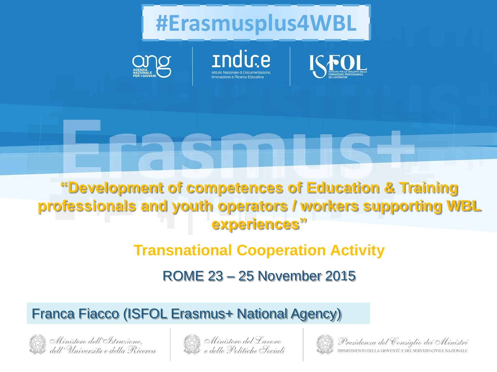**#Erasmusplus4WBL**







**"Development of competences of Education & Training professionals and youth operators / workers supporting WBL experiences"**

### **Transnational Cooperation Activity**

ROME 23 – 25 November 2015

Franca Fiacco (ISFOL Erasmus+ National Agency)







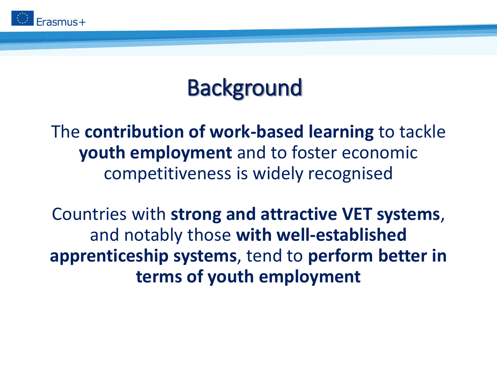

# **Background**

The **contribution of work-based learning** to tackle **youth employment** and to foster economic competitiveness is widely recognised

Countries with **strong and attractive VET systems**, and notably those **with well-established apprenticeship systems**, tend to **perform better in terms of youth employment**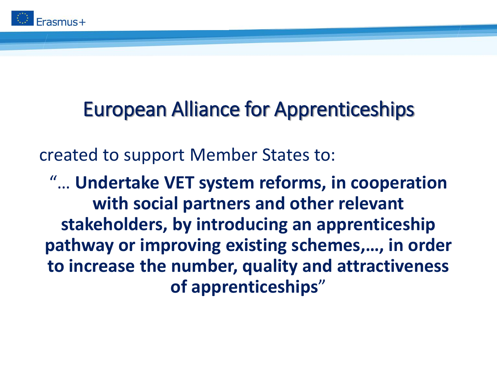

## European Alliance for Apprenticeships

created to support Member States to:

"… **Undertake VET system reforms, in cooperation with social partners and other relevant stakeholders, by introducing an apprenticeship pathway or improving existing schemes,…, in order to increase the number, quality and attractiveness of apprenticeships**"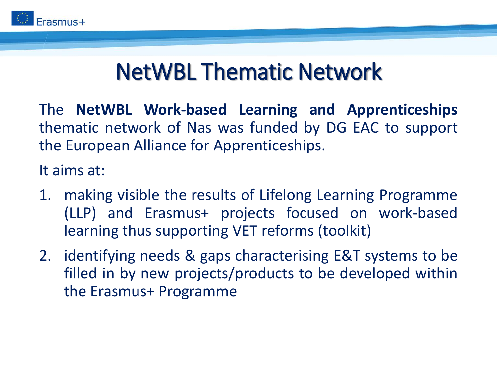

## NetWBL Thematic Network

The **NetWBL Work-based Learning and Apprenticeships** thematic network of Nas was funded by DG EAC to support the European Alliance for Apprenticeships.

It aims at:

- 1. making visible the results of Lifelong Learning Programme (LLP) and Erasmus+ projects focused on work-based learning thus supporting VET reforms (toolkit)
- 2. identifying needs & gaps characterising E&T systems to be filled in by new projects/products to be developed within the Erasmus+ Programme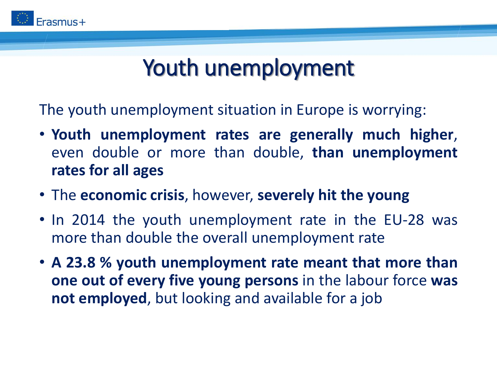

## Youth unemployment

The youth unemployment situation in Europe is worrying:

- **Youth unemployment rates are generally much higher**, even double or more than double, **than unemployment rates for all ages**
- The **economic crisis**, however, **severely hit the young**
- In 2014 the youth unemployment rate in the EU-28 was more than double the overall unemployment rate
- **A 23.8 % youth unemployment rate meant that more than one out of every five young persons** in the labour force **was not employed**, but looking and available for a job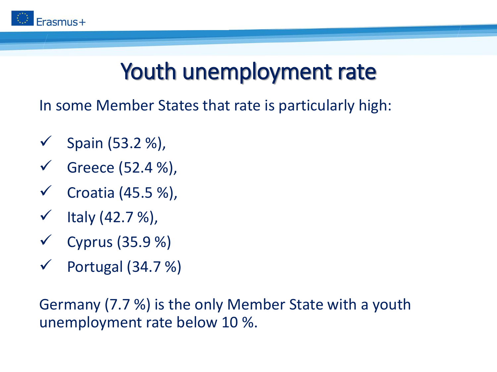

# Youth unemployment rate

In some Member States that rate is particularly high:

- Spain (53.2 %),
- Greece (52.4 %),
- Croatia (45.5 %),
- $\checkmark$  Italy (42.7 %),
- $\checkmark$  Cyprus (35.9 %)
- $\checkmark$  Portugal (34.7 %)

Germany (7.7 %) is the only Member State with a youth unemployment rate below 10 %.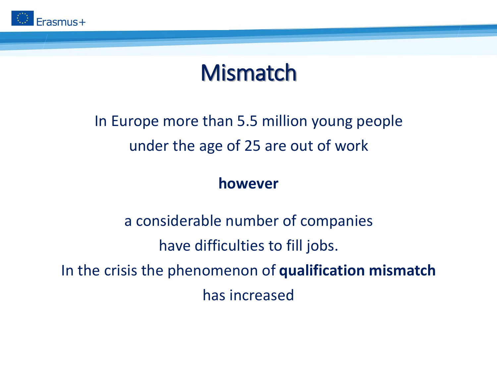

## **Mismatch**

### In Europe more than 5.5 million young people under the age of 25 are out of work

#### **however**

a considerable number of companies have difficulties to fill jobs. In the crisis the phenomenon of **qualification mismatch**  has increased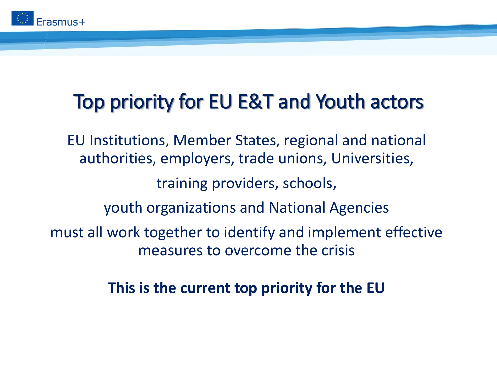

### Top priority for EU E&T and Youth actors

EU Institutions, Member States, regional and national authorities, employers, trade unions, Universities, training providers, schools, youth organizations and National Agencies must all work together to identify and implement effective measures to overcome the crisis

**This is the current top priority for the EU**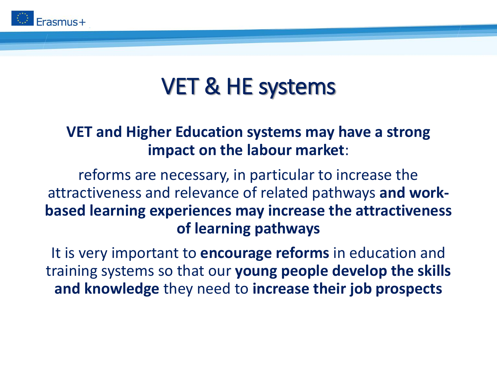

# VET & HE systems

### **VET and Higher Education systems may have a strong impact on the labour market**:

reforms are necessary, in particular to increase the attractiveness and relevance of related pathways **and workbased learning experiences may increase the attractiveness of learning pathways**

It is very important to **encourage reforms** in education and training systems so that our **young people develop the skills and knowledge** they need to **increase their job prospects**